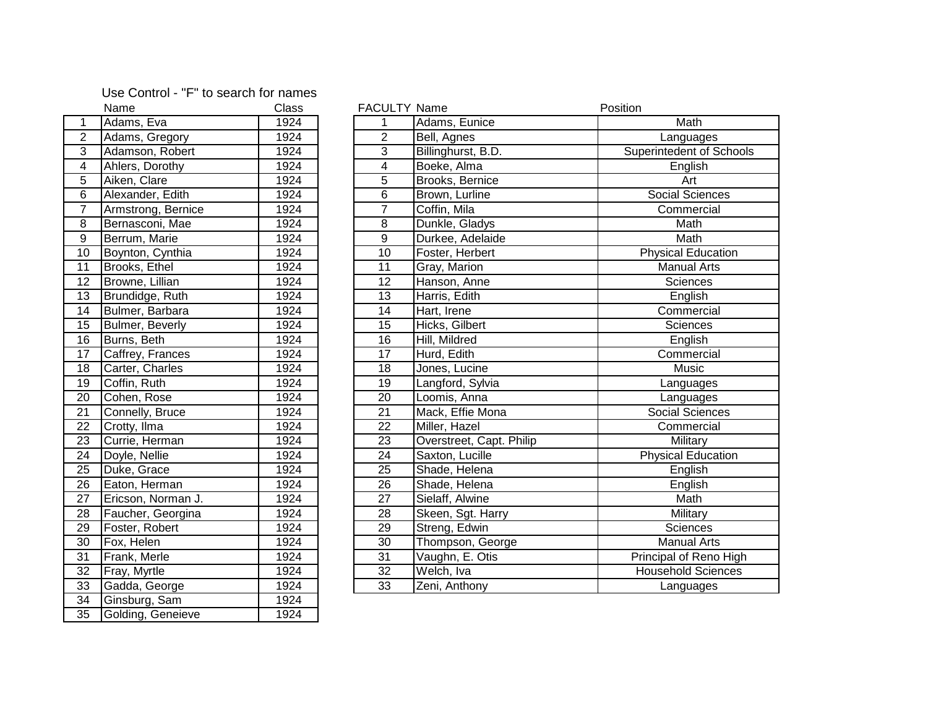## Use Control - "F" to search for names

|                 | Name                   | Class |
|-----------------|------------------------|-------|
| 1               | Adams, Eva             | 1924  |
| $\overline{2}$  | Adams, Gregory         | 1924  |
| $\overline{3}$  | Adamson, Robert        | 1924  |
| $\overline{4}$  | Ahlers, Dorothy        | 1924  |
| $\overline{5}$  | Aiken, Clare           | 1924  |
| $\overline{6}$  | Alexander, Edith       | 1924  |
| 7               | Armstrong, Bernice     | 1924  |
| 8               | Bernasconi, Mae        | 1924  |
| $\overline{9}$  | Berrum, Marie          | 1924  |
| $\overline{10}$ | Boynton, Cynthia       | 1924  |
| 11              | Brooks, Ethel          | 1924  |
| $\overline{12}$ | Browne, Lillian        | 1924  |
| 13              | Brundidge, Ruth        | 1924  |
| 14              | Bulmer, Barbara        | 1924  |
| $\overline{15}$ | <b>Bulmer, Beverly</b> | 1924  |
| $\overline{16}$ | Burns, Beth            | 1924  |
| $\overline{17}$ | Caffrey, Frances       | 1924  |
| 18              | Carter, Charles        | 1924  |
| 19              | Coffin, Ruth           | 1924  |
| 20              | Cohen, Rose            | 1924  |
| $\overline{21}$ | Connelly, Bruce        | 1924  |
| 22              | Crotty, Ilma           | 1924  |
| 23              | Currie, Herman         | 1924  |
| $\overline{24}$ | Doyle, Nellie          | 1924  |
| $\overline{25}$ | Duke, Grace            | 1924  |
| $\overline{26}$ | Eaton, Herman          | 1924  |
| $\overline{27}$ | Ericson, Norman J.     | 1924  |
| 28              | Faucher, Georgina      | 1924  |
| 29              | Foster, Robert         | 1924  |
| $\overline{30}$ | Fox, Helen             | 1924  |
| $\overline{31}$ | Frank, Merle           | 1924  |
| $\overline{32}$ | Fray, Myrtle           | 1924  |
| 33              | Gadda, George          | 1924  |
| 34              | Ginsburg, Sam          | 1924  |
| $\overline{35}$ | Golding, Geneieve      | 1924  |
|                 |                        |       |

|                 | Name               | Class             | <b>FACULTY Name</b> |                          | Position                  |
|-----------------|--------------------|-------------------|---------------------|--------------------------|---------------------------|
| $\mathbf{1}$    | Adams, Eva         | 1924              |                     | Adams, Eunice            | Math                      |
| $\overline{2}$  | Adams, Gregory     | 1924              | $\overline{2}$      | Bell, Agnes              | Languages                 |
| 3               | Adamson, Robert    | 1924              | 3                   | Billinghurst, B.D.       | Superintedent of Schools  |
| $\overline{4}$  | Ahlers, Dorothy    | 1924              | 4                   | Boeke, Alma              | English                   |
| 5               | Aiken, Clare       | 1924              | 5                   | Brooks, Bernice          | Art                       |
| $6\phantom{1}6$ | Alexander, Edith   | 1924              | 6                   | Brown, Lurline           | Social Sciences           |
| $\overline{7}$  | Armstrong, Bernice | 1924              | $\overline{7}$      | Coffin, Mila             | Commercial                |
| $\overline{8}$  | Bernasconi, Mae    | 1924              | 8                   | Dunkle, Gladys           | Math                      |
| $\overline{9}$  | Berrum, Marie      | 1924              | 9                   | Durkee, Adelaide         | Math                      |
| $\overline{10}$ | Boynton, Cynthia   | $\overline{1924}$ | 10                  | Foster, Herbert          | <b>Physical Education</b> |
| 11              | Brooks, Ethel      | 1924              | 11                  | Gray, Marion             | <b>Manual Arts</b>        |
| 12 <sub>2</sub> | Browne, Lillian    | 1924              | 12                  | Hanson, Anne             | Sciences                  |
| 13              | Brundidge, Ruth    | 1924              | 13                  | Harris, Edith            | English                   |
| 14              | Bulmer, Barbara    | 1924              | 14                  | Hart, Irene              | Commercial                |
| 15              | Bulmer, Beverly    | 1924              | 15                  | Hicks, Gilbert           | Sciences                  |
| 16              | Burns, Beth        | 1924              | 16                  | Hill, Mildred            | English                   |
| $\overline{17}$ | Caffrey, Frances   | 1924              | $\overline{17}$     | Hurd, Edith              | Commercial                |
| 18              | Carter, Charles    | 1924              | 18                  | Jones, Lucine            | Music                     |
| 19              | Coffin, Ruth       | 1924              | 19                  | Langford, Sylvia         | Languages                 |
| $\overline{20}$ | Cohen, Rose        | 1924              | 20                  | Loomis, Anna             | Languages                 |
| $\overline{21}$ | Connelly, Bruce    | 1924              | 21                  | Mack, Effie Mona         | Social Sciences           |
| $\overline{22}$ | Crotty, Ilma       | 1924              | 22                  | Miller, Hazel            | Commercial                |
| 23              | Currie, Herman     | 1924              | 23                  | Overstreet, Capt. Philip | Military                  |
| 24              | Doyle, Nellie      | 1924              | 24                  | Saxton, Lucille          | <b>Physical Education</b> |
| $\overline{25}$ | Duke, Grace        | 1924              | 25                  | Shade, Helena            | English                   |
| $\overline{26}$ | Eaton, Herman      | 1924              | 26                  | Shade, Helena            | English                   |
| $\overline{27}$ | Ericson, Norman J. | 1924              | 27                  | Sielaff, Alwine          | Math                      |
| <u>28</u>       | Faucher, Georgina  | 1924              | 28                  | Skeen, Sgt. Harry        | Military                  |
| 29              | Foster, Robert     | 1924              | 29                  | Streng, Edwin            | <b>Sciences</b>           |
| $\overline{30}$ | Fox, Helen         | 1924              | $\overline{30}$     | Thompson, George         | <b>Manual Arts</b>        |
| 31              | Frank, Merle       | 1924              | $\overline{31}$     | Vaughn, E. Otis          | Principal of Reno High    |
| $\overline{32}$ | Fray, Myrtle       | 1924              | 32                  | Welch, Iva               | <b>Household Sciences</b> |
| 33              | Gadda, George      | 1924              | 33                  | Zeni, Anthony            | Languages                 |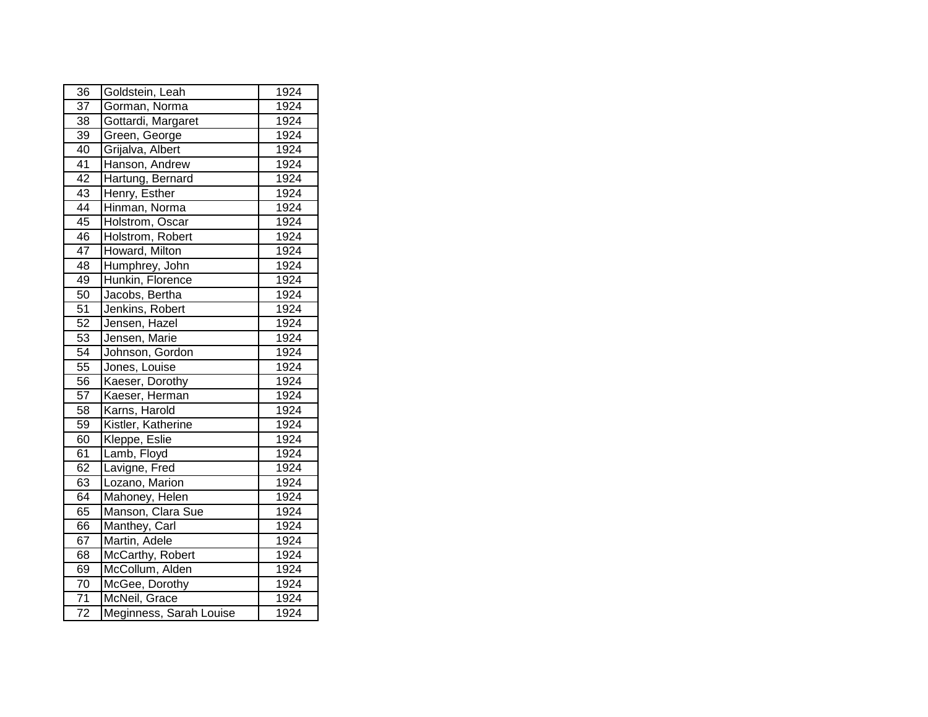| 36              | Goldstein, Leah         | 1924 |
|-----------------|-------------------------|------|
| $\overline{37}$ | Gorman, Norma           | 1924 |
| 38              | Gottardi, Margaret      | 1924 |
| $\overline{39}$ | Green, George           | 1924 |
| 40              | Grijalva, Albert        | 1924 |
| $\overline{41}$ | Hanson, Andrew          | 1924 |
| $\overline{42}$ | Hartung, Bernard        | 1924 |
| 43              | Henry, Esther           | 1924 |
| $\overline{44}$ | Hinman, Norma           | 1924 |
| $\overline{45}$ | Holstrom, Oscar         | 1924 |
| 46              | Holstrom, Robert        | 1924 |
| 47              | Howard, Milton          | 1924 |
| 48              | Humphrey, John          | 1924 |
| 49              | Hunkin, Florence        | 1924 |
| 50              | Jacobs, Bertha          | 1924 |
| 51              | Jenkins, Robert         | 1924 |
| 52              | Jensen, Hazel           | 1924 |
| 53              | Jensen, Marie           | 1924 |
| $\overline{54}$ | Johnson, Gordon         | 1924 |
| 55              | Jones, Louise           | 1924 |
| 56              | Kaeser, Dorothy         | 1924 |
| 57              | Kaeser, Herman          | 1924 |
| 58              | Karns, Harold           | 1924 |
| $\overline{59}$ | Kistler, Katherine      | 1924 |
| 60              | Kleppe, Eslie           | 1924 |
| 61              | Lamb, Floyd             | 1924 |
| 62              | Lavigne, Fred           | 1924 |
| 63              | Lozano, Marion          | 1924 |
| 64              | Mahoney, Helen          | 1924 |
| 65              | Manson, Clara Sue       | 1924 |
| 66              | Manthey, Carl           | 1924 |
| 67              | Martin, Adele           | 1924 |
| 68              | McCarthy, Robert        | 1924 |
| 69              | McCollum, Alden         | 1924 |
| $\overline{70}$ | McGee, Dorothy          | 1924 |
| $\overline{71}$ | McNeil, Grace           | 1924 |
| $\overline{72}$ | Meginness, Sarah Louise | 1924 |